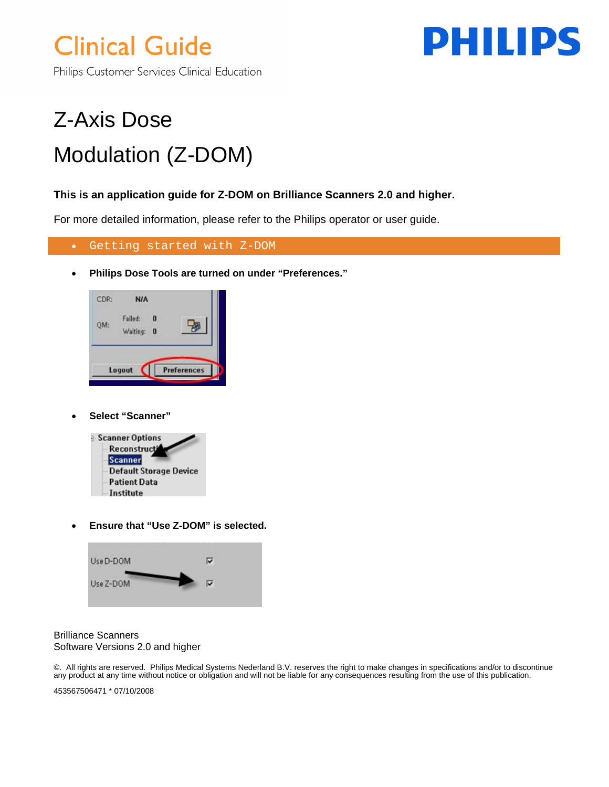



Philips Customer Services Clinical Education

# Z-Axis Dose Modulation (Z-DOM)

### **This is an application guide for Z-DOM on Brilliance Scanners 2.0 and higher.**

For more detailed information, please refer to the Philips operator or user guide.

#### • Getting started with Z-DOM

• **Philips Dose Tools are turned on under "Preferences."** 

|  | Waiting: 0 |  |  |  |  |
|--|------------|--|--|--|--|
|--|------------|--|--|--|--|

• **Select "Scanner"** 



• **Ensure that "Use Z-DOM" is selected.** 



#### Brilliance Scanners Software Versions 2.0 and higher

©. All rights are reserved. Philips Medical Systems Nederland B.V. reserves the right to make changes in specifications and/or to discontinue<br>any product at any time without notice or obligation and will not be liable for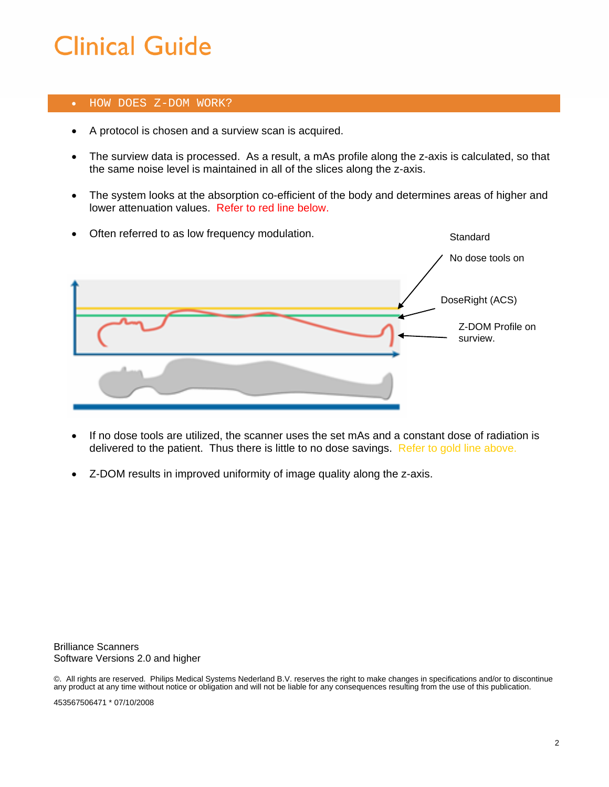### • HOW DOES Z-DOM WORK?

- A protocol is chosen and a surview scan is acquired.
- The surview data is processed. As a result, a mAs profile along the z-axis is calculated, so that the same noise level is maintained in all of the slices along the z-axis.
- The system looks at the absorption co-efficient of the body and determines areas of higher and lower attenuation values. Refer to red line below.



- If no dose tools are utilized, the scanner uses the set mAs and a constant dose of radiation is delivered to the patient. Thus there is little to no dose savings. Refer to gold line above.
- Z-DOM results in improved uniformity of image quality along the z-axis.

Brilliance Scanners Software Versions 2.0 and higher

©. All rights are reserved. Philips Medical Systems Nederland B.V. reserves the right to make changes in specifications and/or to discontinue any product at any time without notice or obligation and will not be liable for any consequences resulting from the use of this publication.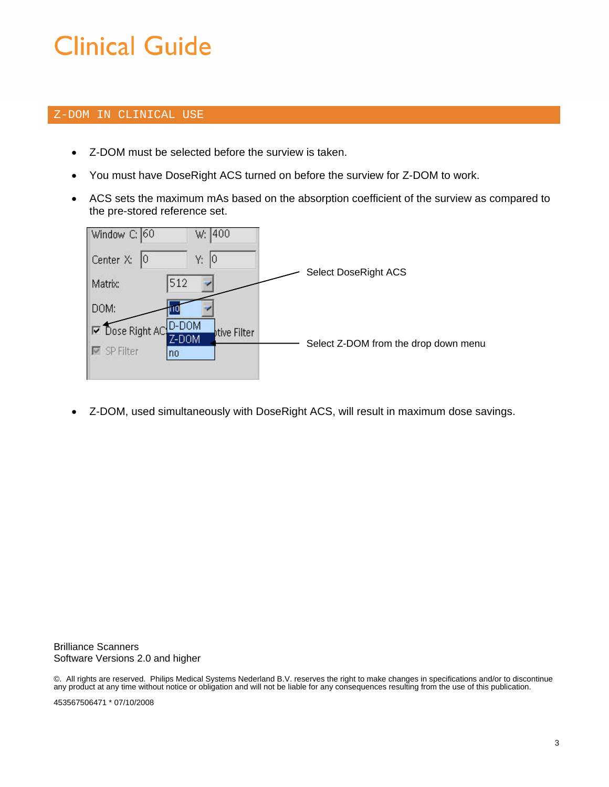#### Z-DOM IN CLINICAL USE

- Z-DOM must be selected before the surview is taken.
- You must have DoseRight ACS turned on before the surview for Z-DOM to work.
- ACS sets the maximum mAs based on the absorption coefficient of the surview as compared to the pre-stored reference set.



• Z-DOM, used simultaneously with DoseRight ACS, will result in maximum dose savings.

Brilliance Scanners Software Versions 2.0 and higher

©. All rights are reserved. Philips Medical Systems Nederland B.V. reserves the right to make changes in specifications and/or to discontinue<br>any product at any time without notice or obligation and will not be liable for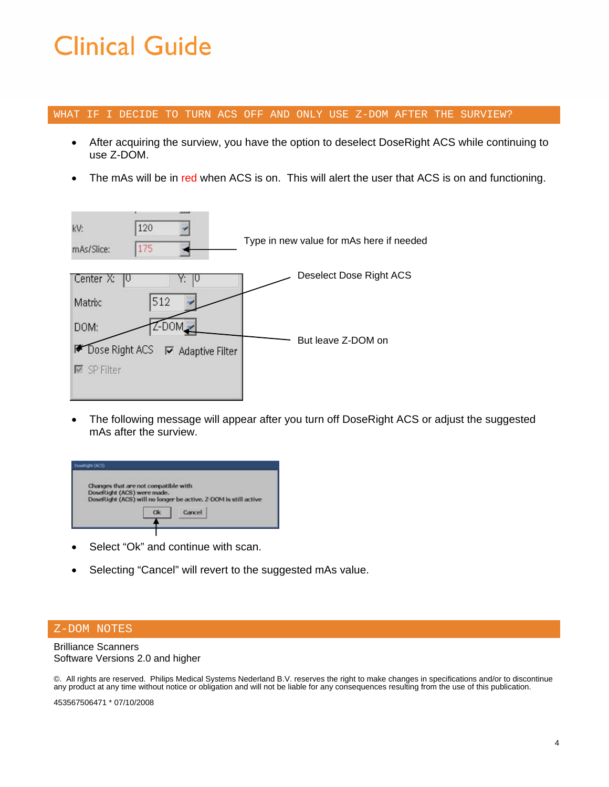WHAT IF I DECIDE TO TURN ACS OFF AND ONLY USE Z-DOM AFTER THE SURVIEW?

- After acquiring the surview, you have the option to deselect DoseRight ACS while continuing to use Z-DOM.
- The mAs will be in red when ACS is on. This will alert the user that ACS is on and functioning.

| 120<br>kV:<br>175<br>mAs/Slice:                 | Type in new value for mAs here if needed |
|-------------------------------------------------|------------------------------------------|
| Center X:                                       | Deselect Dose Right ACS                  |
| 512<br>Matrix:                                  |                                          |
| Z-DOM :<br>DOM:                                 |                                          |
| Dose Right ACS<br>Γ<br>$\nabla$ Adaptive Filter | But leave Z-DOM on                       |
| $\nabla$ SP Filter                              |                                          |
|                                                 |                                          |

• The following message will appear after you turn off DoseRight ACS or adjust the suggested mAs after the surview.



- Select "Ok" and continue with scan.
- Selecting "Cancel" will revert to the suggested mAs value.

#### Z-DOM NOTES

Brilliance Scanners Software Versions 2.0 and higher

©. All rights are reserved. Philips Medical Systems Nederland B.V. reserves the right to make changes in specifications and/or to discontinue any product at any time without notice or obligation and will not be liable for any consequences resulting from the use of this publication.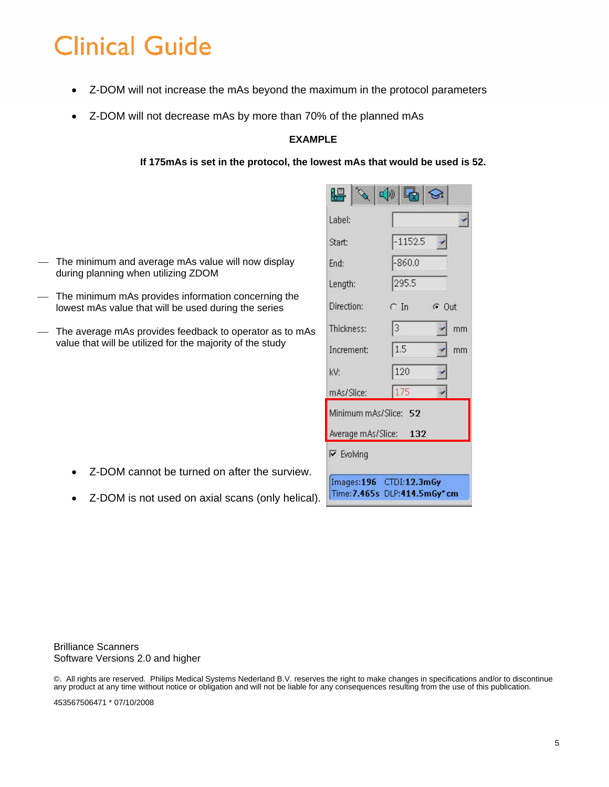- Z-DOM will not increase the mAs beyond the maximum in the protocol parameters
- Z-DOM will not decrease mAs by more than 70% of the planned mAs

### **EXAMPLE**

**If 175mAs is set in the protocol, the lowest mAs that would be used is 52.** 

|    | 晿.                                                              | ା√ା ନୁ  ର              |         |  |  |  |  |
|----|-----------------------------------------------------------------|------------------------|---------|--|--|--|--|
|    | Label:                                                          |                        |         |  |  |  |  |
|    | Start:                                                          | $-1152.5$              |         |  |  |  |  |
|    | End:                                                            | $-860.0$               |         |  |  |  |  |
|    | Length:                                                         | 295.5                  |         |  |  |  |  |
|    | Direction:                                                      | $\cap$ In              | $G$ Out |  |  |  |  |
| As | Thickness:                                                      | $\vert$ 3              | mm      |  |  |  |  |
|    | Increment:                                                      | $1.5\,$                | mm      |  |  |  |  |
|    | kV:                                                             | 120                    |         |  |  |  |  |
|    | mAs/Slice:                                                      | 175                    |         |  |  |  |  |
|    | Minimum mAs/Slice: 52                                           |                        |         |  |  |  |  |
|    |                                                                 | Average mAs/Slice: 132 |         |  |  |  |  |
|    | $\nabla$ Evolving                                               |                        |         |  |  |  |  |
| N. | Images: 196 CTDI: 12.3mGy<br>$Time 7.465c$ DLD:414 $5mC_1$ * cm |                        |         |  |  |  |  |

- The minimum and average mAs value will now display during planning when utilizing ZDOM
- $-$  The minimum mAs provides information concerning the lowest mAs value that will be used during the series
- $-$  The average mAs provides feedback to operator as to m. value that will be utilized for the majority of the study

- Z-DOM cannot be turned on after the surview
- Z-DOM is not used on axial scans (only helical).

Brilliance Scanners Software Versions 2.0 and higher

©. All rights are reserved. Philips Medical Systems Nederland B.V. reserves the right to make changes in specifications and/or to discontinue<br>any product at any time without notice or obligation and will not be liable for